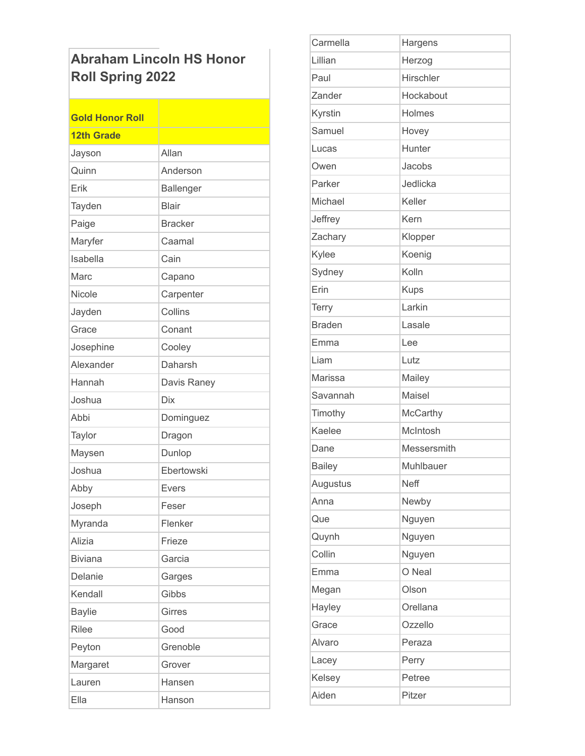## **Abraham Lincoln HS Honor** Roll Spring 2022

| <b>Gold Honor Roll</b> |                |
|------------------------|----------------|
| <b>12th Grade</b>      |                |
| Jayson                 | Allan          |
| Quinn                  | Anderson       |
| Erik                   | Ballenger      |
| Tayden                 | <b>Blair</b>   |
| Paige                  | <b>Bracker</b> |
| Maryfer                | Caamal         |
| Isabella               | Cain           |
| Marc                   | Capano         |
| Nicole                 | Carpenter      |
| Jayden                 | Collins        |
| Grace                  | Conant         |
| Josephine              | Cooley         |
| Alexander              | Daharsh        |
| Hannah                 | Davis Raney    |
| Joshua                 | <b>Dix</b>     |
| Abbi                   | Dominguez      |
| Taylor                 | Dragon         |
| Maysen                 | Dunlop         |
| Joshua                 | Ebertowski     |
| Abby                   | Evers          |
| Joseph                 | Feser          |
| Myranda                | Flenker        |
| Alizia                 | Frieze         |
| <b>Biviana</b>         | Garcia         |
| Delanie                | Garges         |
| Kendall                | Gibbs          |
| <b>Baylie</b>          | <b>Girres</b>  |
| <b>Rilee</b>           | Good           |
| Peyton                 | Grenoble       |
| Margaret               | Grover         |
| Lauren                 | Hansen         |
| Ella                   | Hanson         |

| Carmella      | Hargens         |
|---------------|-----------------|
| Lillian       | Herzog          |
| Paul          | Hirschler       |
| Zander        | Hockabout       |
| Kyrstin       | Holmes          |
| Samuel        | Hovey           |
| Lucas         | Hunter          |
| Owen          | Jacobs          |
| Parker        | Jedlicka        |
| Michael       | Keller          |
| Jeffrey       | Kern            |
| Zachary       | Klopper         |
| Kylee         | Koenig          |
| Sydney        | Kolln           |
| Erin          | <b>Kups</b>     |
| <b>Terry</b>  | Larkin          |
| <b>Braden</b> | Lasale          |
| Emma          | Lee             |
| Liam          | Lutz            |
| Marissa       | Mailey          |
| Savannah      | Maisel          |
| Timothy       | <b>McCarthy</b> |
| Kaelee        | McIntosh        |
| Dane          | Messersmith     |
| <b>Bailey</b> | Muhlbauer       |
| Augustus      | <b>Neff</b>     |
| Anna          | Newby           |
| Que           | Nguyen          |
| Quynh         | Nguyen          |
| Collin        | Nguyen          |
| Emma          | O Neal          |
| Megan         | Olson           |
| Hayley        | Orellana        |
| Grace         | Ozzello         |
| Alvaro        | Peraza          |
| Lacey         | Perry           |
| Kelsey        | Petree          |
| Aiden         | Pitzer          |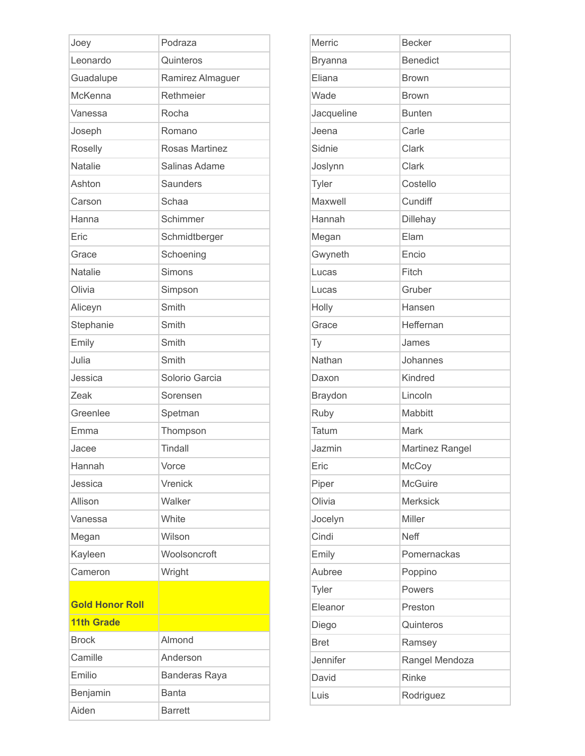| Joey                   | Podraza              |
|------------------------|----------------------|
| Leonardo               | Quinteros            |
| Guadalupe              | Ramirez Almaguer     |
| McKenna                | Rethmeier            |
| Vanessa                | Rocha                |
| Joseph                 | Romano               |
| Roselly                | Rosas Martinez       |
| <b>Natalie</b>         | Salinas Adame        |
| Ashton                 | Saunders             |
| Carson                 | Schaa                |
| Hanna                  | Schimmer             |
| Eric                   | Schmidtberger        |
| Grace                  | Schoening            |
| <b>Natalie</b>         | Simons               |
| Olivia                 | Simpson              |
| Aliceyn                | Smith                |
| Stephanie              | Smith                |
| Emily                  | Smith                |
| Julia                  | Smith                |
| Jessica                | Solorio Garcia       |
| Zeak                   | Sorensen             |
| Greenlee               | Spetman              |
| Emma                   | Thompson             |
| Jacee                  | Tindall              |
| Hannah                 | Vorce                |
| Jessica                | Vrenick              |
| Allison                | Walker               |
| Vanessa                | White                |
| Megan                  | Wilson               |
| Kayleen                | Woolsoncroft         |
| Cameron                | Wright               |
| <b>Gold Honor Roll</b> |                      |
| <b>11th Grade</b>      |                      |
| <b>Brock</b>           | Almond               |
| Camille                | Anderson             |
| Emilio                 | <b>Banderas Raya</b> |
| Benjamin               | <b>Banta</b>         |
| Aiden                  | <b>Barrett</b>       |

| Merric         | <b>Becker</b>   |
|----------------|-----------------|
| <b>Bryanna</b> | <b>Benedict</b> |
| Eliana         | <b>Brown</b>    |
| Wade           | <b>Brown</b>    |
| Jacqueline     | <b>Bunten</b>   |
| Jeena          | Carle           |
| Sidnie         | Clark           |
| Joslynn        | Clark           |
| Tyler          | Costello        |
| Maxwell        | Cundiff         |
| Hannah         | Dillehay        |
| Megan          | Elam            |
| Gwyneth        | Encio           |
| Lucas          | Fitch           |
| Lucas          | Gruber          |
| Holly          | Hansen          |
| Grace          | Heffernan       |
| Ty             | James           |
| Nathan         | Johannes        |
| Daxon          | Kindred         |
| Braydon        | Lincoln         |
| Ruby           | Mabbitt         |
| Tatum          | Mark            |
| Jazmin         | Martinez Rangel |
| Eric           | McCoy           |
| Piper          | <b>McGuire</b>  |
| Olivia         | <b>Merksick</b> |
| Jocelyn        | Miller          |
| Cindi          | Neff            |
| Emily          | Pomernackas     |
| Aubree         | Poppino         |
| <b>Tyler</b>   | Powers          |
| Eleanor        | Preston         |
| Diego          | Quinteros       |
| <b>Bret</b>    | Ramsey          |
| Jennifer       | Rangel Mendoza  |
| David          | Rinke           |
| Luis           | Rodriguez       |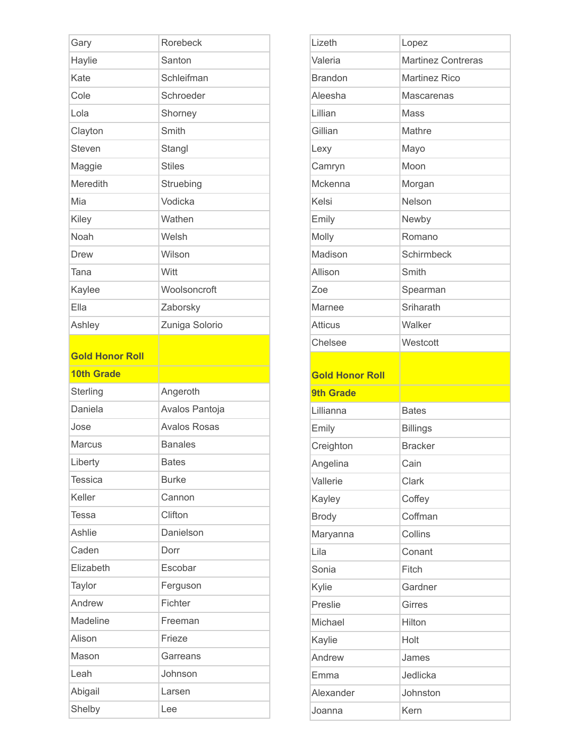| Gary                   | Rorebeck            |
|------------------------|---------------------|
| Haylie                 | Santon              |
| Kate                   | Schleifman          |
| Cole                   | Schroeder           |
| Lola                   | Shorney             |
| Clayton                | Smith               |
| <b>Steven</b>          | Stangl              |
| Maggie                 | <b>Stiles</b>       |
| Meredith               | Struebing           |
| Mia                    | Vodicka             |
| Kiley                  | Wathen              |
| Noah                   | Welsh               |
| <b>Drew</b>            | Wilson              |
| Tana                   | Witt                |
| Kaylee                 | Woolsoncroft        |
| Ella                   | Zaborsky            |
| Ashley                 | Zuniga Solorio      |
|                        |                     |
| <b>Gold Honor Roll</b> |                     |
|                        |                     |
| <b>10th Grade</b>      |                     |
| Sterling               | Angeroth            |
| Daniela                | Avalos Pantoja      |
| Jose                   | <b>Avalos Rosas</b> |
| <b>Marcus</b>          | <b>Banales</b>      |
| Liberty                | <b>Bates</b>        |
| <b>Tessica</b>         | <b>Burke</b>        |
| Keller                 | Cannon              |
| <b>Tessa</b>           | Clifton             |
| <b>Ashlie</b>          | Danielson           |
| Caden                  | Dorr                |
| Elizabeth              | Escobar             |
| Taylor                 | Ferguson            |
| Andrew                 | Fichter             |
| Madeline               | Freeman             |
| Alison                 | Frieze              |
| Mason                  | Garreans            |
| Leah                   | Johnson             |
| Abigail                | Larsen              |

| Lizeth                 | Lopez                     |
|------------------------|---------------------------|
| Valeria                | <b>Martinez Contreras</b> |
| <b>Brandon</b>         | <b>Martinez Rico</b>      |
| Aleesha                | <b>Mascarenas</b>         |
| Lillian                | Mass                      |
| Gillian                | Mathre                    |
| Lexy                   | Mayo                      |
| Camryn                 | Moon                      |
| Mckenna                | Morgan                    |
| Kelsi                  | Nelson                    |
| Emily                  | Newby                     |
| Molly                  | Romano                    |
| Madison                | Schirmbeck                |
| Allison                | Smith                     |
| Zoe                    | Spearman                  |
| Marnee                 | Sriharath                 |
| <b>Atticus</b>         | Walker                    |
| Chelsee                | Westcott                  |
|                        |                           |
| <b>Gold Honor Roll</b> |                           |
| <b>9th Grade</b>       |                           |
| Lillianna              | <b>Bates</b>              |
| Emily                  | <b>Billings</b>           |
| Creighton              | <b>Bracker</b>            |
| Angelina               | Cain                      |
| Vallerie               | Clark                     |
| Kayley                 | Coffey                    |
| <b>Brody</b>           | Coffman                   |
| Maryanna               | Collins                   |
| Lila                   | Conant                    |
| Sonia                  | Fitch                     |
| Kylie                  | Gardner                   |
| Preslie                | <b>Girres</b>             |
| Michael                | Hilton                    |
| Kaylie                 | Holt                      |
| Andrew                 | James                     |
| Emma                   | Jedlicka                  |
| Alexander              | Johnston                  |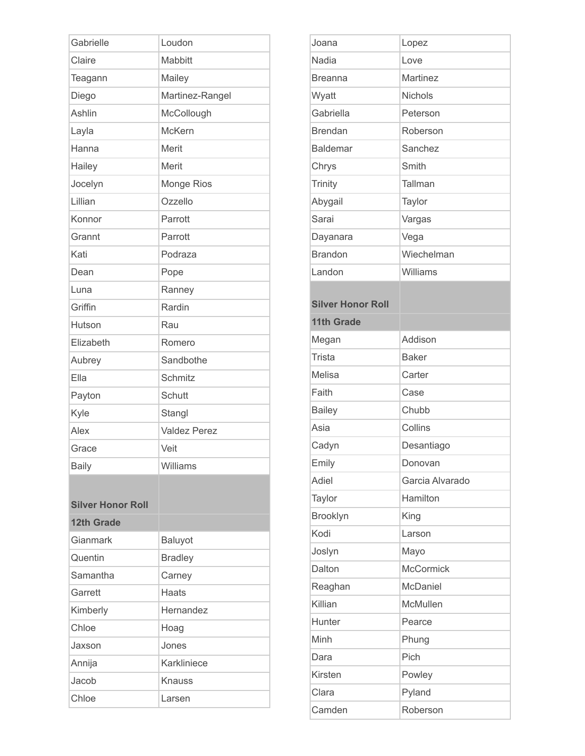| <b>Mabbitt</b><br>Mailey<br>Martinez-Rangel<br>McCollough<br><b>McKern</b><br>Merit<br>Merit<br>Monge Rios<br>Ozzello<br>Parrott<br>Parrott<br>Podraza<br>Pope<br>Ranney<br>Rardin<br>Rau<br>Romero<br>Sandbothe<br>Schmitz<br>Schutt<br>Stangl<br><b>Valdez Perez</b><br>Veit<br>Williams<br>Baluyot<br><b>Bradley</b><br>Carney<br><b>Haats</b> | Gabrielle                | Loudon |
|---------------------------------------------------------------------------------------------------------------------------------------------------------------------------------------------------------------------------------------------------------------------------------------------------------------------------------------------------|--------------------------|--------|
|                                                                                                                                                                                                                                                                                                                                                   | Claire                   |        |
|                                                                                                                                                                                                                                                                                                                                                   | Teagann                  |        |
|                                                                                                                                                                                                                                                                                                                                                   | Diego                    |        |
|                                                                                                                                                                                                                                                                                                                                                   | Ashlin                   |        |
|                                                                                                                                                                                                                                                                                                                                                   | Layla                    |        |
|                                                                                                                                                                                                                                                                                                                                                   | Hanna                    |        |
|                                                                                                                                                                                                                                                                                                                                                   | Hailey                   |        |
|                                                                                                                                                                                                                                                                                                                                                   | Jocelyn                  |        |
|                                                                                                                                                                                                                                                                                                                                                   | Lillian                  |        |
|                                                                                                                                                                                                                                                                                                                                                   | Konnor                   |        |
|                                                                                                                                                                                                                                                                                                                                                   | Grannt                   |        |
|                                                                                                                                                                                                                                                                                                                                                   | Kati                     |        |
|                                                                                                                                                                                                                                                                                                                                                   | Dean                     |        |
|                                                                                                                                                                                                                                                                                                                                                   | Luna                     |        |
|                                                                                                                                                                                                                                                                                                                                                   | Griffin                  |        |
|                                                                                                                                                                                                                                                                                                                                                   | Hutson                   |        |
|                                                                                                                                                                                                                                                                                                                                                   | Elizabeth                |        |
|                                                                                                                                                                                                                                                                                                                                                   | Aubrey                   |        |
|                                                                                                                                                                                                                                                                                                                                                   | Ella                     |        |
|                                                                                                                                                                                                                                                                                                                                                   | Payton                   |        |
|                                                                                                                                                                                                                                                                                                                                                   | Kyle                     |        |
|                                                                                                                                                                                                                                                                                                                                                   | Alex                     |        |
|                                                                                                                                                                                                                                                                                                                                                   | Grace                    |        |
|                                                                                                                                                                                                                                                                                                                                                   | <b>Baily</b>             |        |
|                                                                                                                                                                                                                                                                                                                                                   |                          |        |
|                                                                                                                                                                                                                                                                                                                                                   | <b>Silver Honor Roll</b> |        |
|                                                                                                                                                                                                                                                                                                                                                   | <b>12th Grade</b>        |        |
|                                                                                                                                                                                                                                                                                                                                                   | Gianmark                 |        |
|                                                                                                                                                                                                                                                                                                                                                   | Quentin                  |        |
|                                                                                                                                                                                                                                                                                                                                                   | Samantha                 |        |
|                                                                                                                                                                                                                                                                                                                                                   | Garrett                  |        |
| Hernandez                                                                                                                                                                                                                                                                                                                                         | Kimberly                 |        |
| Hoag                                                                                                                                                                                                                                                                                                                                              | Chloe                    |        |
| Jones                                                                                                                                                                                                                                                                                                                                             | Jaxson                   |        |
| Karkliniece                                                                                                                                                                                                                                                                                                                                       | Annija                   |        |
| <b>Knauss</b>                                                                                                                                                                                                                                                                                                                                     | Jacob                    |        |
| Chloe<br>Larsen                                                                                                                                                                                                                                                                                                                                   |                          |        |

| Joana                    | Lopez            |
|--------------------------|------------------|
| Nadia                    | Love             |
| <b>Breanna</b>           | Martinez         |
| Wyatt                    | Nichols          |
| Gabriella                | Peterson         |
| <b>Brendan</b>           | Roberson         |
| <b>Baldemar</b>          | Sanchez          |
| Chrys                    | Smith            |
| Trinity                  | Tallman          |
| Abygail                  | Taylor           |
| Sarai                    | Vargas           |
| Dayanara                 | Vega             |
| <b>Brandon</b>           | Wiechelman       |
| Landon                   | Williams         |
|                          |                  |
| <b>Silver Honor Roll</b> |                  |
| <b>11th Grade</b>        |                  |
| Megan                    | Addison          |
| <b>Trista</b>            | <b>Baker</b>     |
| Melisa                   | Carter           |
| Faith                    | Case             |
| <b>Bailey</b>            | Chubb            |
| Asia                     | Collins          |
| Cadyn                    | Desantiago       |
| Emily                    | Donovan          |
| Adiel                    | Garcia Alvarado  |
| Taylor                   | Hamilton         |
| Brooklyn                 | King             |
| Kodi                     | Larson           |
| Joslyn                   | Mayo             |
| Dalton                   | <b>McCormick</b> |
| Reaghan                  | McDaniel         |
| Killian                  | McMullen         |
| Hunter                   | Pearce           |
| Minh                     | Phung            |
| Dara                     | Pich             |
| Kirsten                  | Powley           |
| Clara                    | Pyland           |
| Camden                   | Roberson         |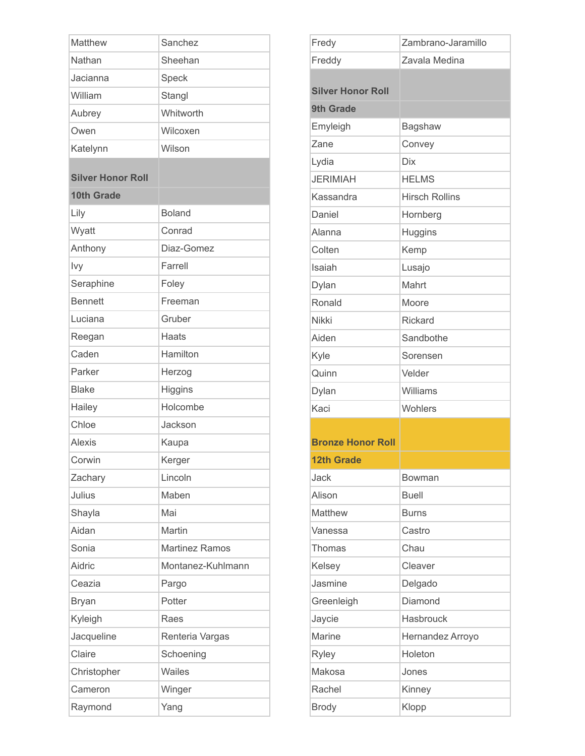| Matthew                  | Sanchez               |
|--------------------------|-----------------------|
| Nathan                   | Sheehan               |
| Jacianna                 | Speck                 |
| William                  | Stangl                |
| Aubrey                   | Whitworth             |
| Owen                     | Wilcoxen              |
| Katelynn                 | Wilson                |
|                          |                       |
| <b>Silver Honor Roll</b> |                       |
| <b>10th Grade</b>        |                       |
| Lily                     | <b>Boland</b>         |
| Wyatt                    | Conrad                |
| Anthony                  | Diaz-Gomez            |
| Ivy                      | Farrell               |
| Seraphine                | Foley                 |
| <b>Bennett</b>           | Freeman               |
| Luciana                  | Gruber                |
| Reegan                   | <b>Haats</b>          |
| Caden                    | Hamilton              |
| Parker                   | Herzog                |
| <b>Blake</b>             | Higgins               |
| Hailey                   | Holcombe              |
| Chloe                    | Jackson               |
| <b>Alexis</b>            | Kaupa                 |
| Corwin                   | Kerger                |
| Zachary                  | Lincoln               |
| Julius                   | Maben                 |
| Shayla                   | Mai                   |
| Aidan                    | Martin                |
| Sonia                    | <b>Martinez Ramos</b> |
| Aidric                   | Montanez-Kuhlmann     |
| Ceazia                   | Pargo                 |
| <b>Bryan</b>             | Potter                |
| Kyleigh                  | Raes                  |
| Jacqueline               | Renteria Vargas       |
| Claire                   | Schoening             |
| Christopher              | <b>Wailes</b>         |
| Cameron                  | Winger                |
| Raymond                  | Yang                  |

| Fredy                    | Zambrano-Jaramillo    |
|--------------------------|-----------------------|
| Freddy                   | Zavala Medina         |
|                          |                       |
| <b>Silver Honor Roll</b> |                       |
| <b>9th Grade</b>         |                       |
| Emyleigh                 | Bagshaw               |
| Zane                     | Convey                |
| Lydia                    | <b>Dix</b>            |
| <b>JERIMIAH</b>          | <b>HELMS</b>          |
| Kassandra                | <b>Hirsch Rollins</b> |
| Daniel                   | Hornberg              |
| Alanna                   | Huggins               |
| Colten                   | Kemp                  |
| Isaiah                   | Lusajo                |
| Dylan                    | Mahrt                 |
| Ronald                   | Moore                 |
| <b>Nikki</b>             | <b>Rickard</b>        |
| Aiden                    | Sandbothe             |
| Kyle                     | Sorensen              |
| Quinn                    | Velder                |
| Dylan                    | Williams              |
| Kaci                     | Wohlers               |
|                          |                       |
| <b>Bronze Honor Roll</b> |                       |
| <b>12th Grade</b>        |                       |
| Jack                     | Bowman                |
| Alison                   | <b>Buell</b>          |
| Matthew                  | <b>Burns</b>          |
| Vanessa                  | Castro                |
| Thomas                   | Chau                  |
| Kelsey                   | Cleaver               |
| Jasmine                  | Delgado               |
| Greenleigh               | Diamond               |
| Jaycie                   | Hasbrouck             |
| <b>Marine</b>            | Hernandez Arroyo      |
| <b>Ryley</b>             | Holeton               |
| Makosa                   | Jones                 |
| Rachel                   | Kinney                |
| <b>Brody</b>             | Klopp                 |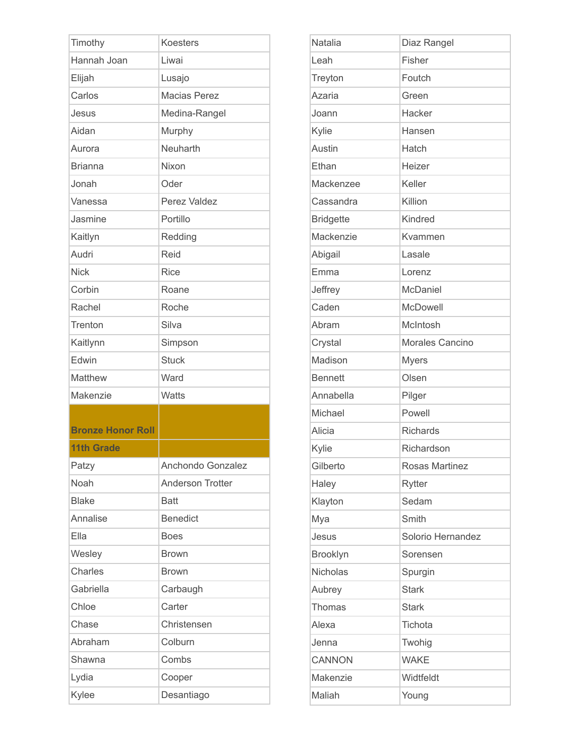| Timothy                  | <b>Koesters</b>         |
|--------------------------|-------------------------|
| Hannah Joan              | Liwai                   |
| Elijah                   | Lusajo                  |
| Carlos                   | <b>Macias Perez</b>     |
| Jesus                    | Medina-Rangel           |
| Aidan                    | Murphy                  |
| Aurora                   | Neuharth                |
| <b>Brianna</b>           | Nixon                   |
| Jonah                    | Oder                    |
| Vanessa                  | Perez Valdez            |
| Jasmine                  | Portillo                |
| Kaitlyn                  | Redding                 |
| Audri                    | Reid                    |
| <b>Nick</b>              | <b>Rice</b>             |
| Corbin                   | Roane                   |
| Rachel                   | Roche                   |
| Trenton                  | Silva                   |
| Kaitlynn                 | Simpson                 |
| Edwin                    | <b>Stuck</b>            |
| Matthew                  | Ward                    |
| Makenzie                 | <b>Watts</b>            |
|                          |                         |
| <b>Bronze Honor Roll</b> |                         |
| <b>11th Grade</b>        |                         |
| Patzy                    | Anchondo Gonzalez       |
| Noah                     | <b>Anderson Trotter</b> |
| <b>Blake</b>             | <b>Batt</b>             |
| Annalise                 | <b>Benedict</b>         |
| Ella                     | <b>Boes</b>             |
| Wesley                   | <b>Brown</b>            |
| Charles                  | <b>Brown</b>            |
| Gabriella                | Carbaugh                |
| Chloe                    | Carter                  |
| Chase                    | Christensen             |
| Abraham                  | Colburn                 |
| Shawna                   | Combs                   |
| Lydia                    | Cooper                  |
| Kylee                    | Desantiago              |

| <b>Natalia</b>   | Diaz Rangel       |
|------------------|-------------------|
| Leah             | Fisher            |
| Treyton          | Foutch            |
| <b>Azaria</b>    | Green             |
| Joann            | Hacker            |
| Kylie            | Hansen            |
| Austin           | Hatch             |
| Ethan            | Heizer            |
| Mackenzee        | Keller            |
| Cassandra        | Killion           |
| <b>Bridgette</b> | Kindred           |
| Mackenzie        | Kvammen           |
| Abigail          | Lasale            |
| Emma             | Lorenz            |
| Jeffrey          | McDaniel          |
| Caden            | McDowell          |
| Abram            | McIntosh          |
| Crystal          | Morales Cancino   |
| Madison          | <b>Myers</b>      |
| <b>Bennett</b>   | Olsen             |
| Annabella        | Pilger            |
| Michael          | Powell            |
| Alicia           | <b>Richards</b>   |
| Kylie            | Richardson        |
| Gilberto         | Rosas Martinez    |
| Haley            | <b>Rytter</b>     |
| Klayton          | Sedam             |
| Mya              | Smith             |
| Jesus            | Solorio Hernandez |
| Brooklyn         | Sorensen          |
| <b>Nicholas</b>  | Spurgin           |
| Aubrey           | <b>Stark</b>      |
| Thomas           | <b>Stark</b>      |
| Alexa            | Tichota           |
| Jenna            | Twohig            |
| <b>CANNON</b>    | <b>WAKE</b>       |
| Makenzie         | Widtfeldt         |
| Maliah           | Young             |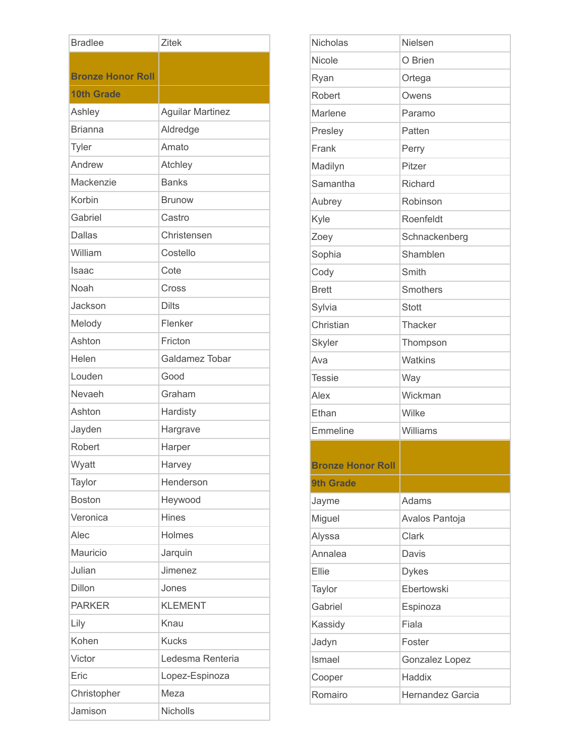| <b>Bradlee</b>           | <b>Zitek</b>            |
|--------------------------|-------------------------|
|                          |                         |
| <b>Bronze Honor Roll</b> |                         |
| <b>10th Grade</b>        |                         |
| Ashley                   | <b>Aguilar Martinez</b> |
| <b>Brianna</b>           | Aldredge                |
| Tyler                    | Amato                   |
| Andrew                   | Atchley                 |
| Mackenzie                | <b>Banks</b>            |
| Korbin                   | <b>Brunow</b>           |
| Gabriel                  | Castro                  |
| <b>Dallas</b>            | Christensen             |
| William                  | Costello                |
| Isaac                    | Cote                    |
| Noah                     | Cross                   |
| Jackson                  | <b>Dilts</b>            |
| Melody                   | Flenker                 |
| Ashton                   | Fricton                 |
| Helen                    | Galdamez Tobar          |
| Louden                   | Good                    |
| Nevaeh                   | Graham                  |
| Ashton                   | Hardisty                |
| Jayden                   | Hargrave                |
| Robert                   | Harper                  |
| Wyatt                    | Harvey                  |
| Taylor                   | Henderson               |
| <b>Boston</b>            | Heywood                 |
| Veronica                 | Hines                   |
| Alec                     | Holmes                  |
| Mauricio                 | Jarquin                 |
| Julian                   | Jimenez                 |
| Dillon                   | Jones                   |
| <b>PARKER</b>            | <b>KLEMENT</b>          |
| Lily                     | Knau                    |
| Kohen                    | <b>Kucks</b>            |
| Victor                   | Ledesma Renteria        |
| Eric                     | Lopez-Espinoza          |
| Christopher              | Meza                    |
| Jamison                  | Nicholls                |

| Nicholas                 | <b>Nielsen</b> |
|--------------------------|----------------|
| Nicole                   | O Brien        |
| Ryan                     | Ortega         |
| Robert                   | Owens          |
| Marlene                  | Paramo         |
| Presley                  | Patten         |
| Frank                    | Perry          |
| Madilyn                  | Pitzer         |
| Samantha                 | Richard        |
| Aubrey                   | Robinson       |
| Kyle                     | Roenfeldt      |
| Zoey                     | Schnackenberg  |
| Sophia                   | Shamblen       |
| Cody                     | Smith          |
| <b>Brett</b>             | Smothers       |
| Sylvia                   | <b>Stott</b>   |
| Christian                | Thacker        |
| <b>Skyler</b>            | Thompson       |
| Ava                      | <b>Watkins</b> |
| <b>Tessie</b>            | Way            |
| Alex                     | Wickman        |
| Ethan                    | Wilke          |
| Emmeline                 | Williams       |
|                          |                |
| <b>Bronze Honor Roll</b> |                |
| <b>9th Grade</b>         |                |
| Jayme                    | Adams          |
| Miguel                   | Avalos Pantoja |
| Alyssa                   | Clark          |
| Annalea                  | Davis          |
| Ellie                    | <b>Dykes</b>   |
| Taylor                   | Ebertowski     |
| Gabriel                  | Espinoza       |
| Kassidy                  | Fiala          |
| Jadyn                    | Foster         |
| Ismael                   | Gonzalez Lopez |
| Cooper                   | Haddix         |
|                          |                |